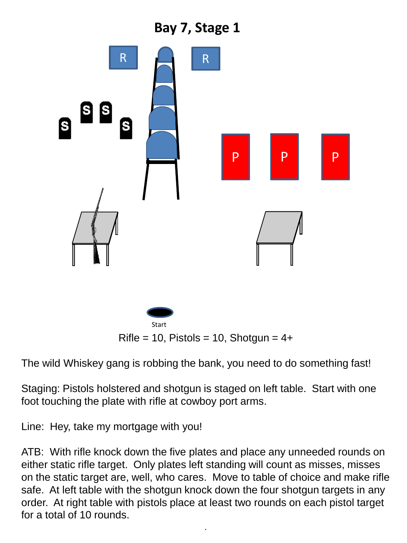## **Bay 7, Stage 1**



The wild Whiskey gang is robbing the bank, you need to do something fast!

Staging: Pistols holstered and shotgun is staged on left table. Start with one foot touching the plate with rifle at cowboy port arms.

Line: Hey, take my mortgage with you!

ATB: With rifle knock down the five plates and place any unneeded rounds on either static rifle target. Only plates left standing will count as misses, misses on the static target are, well, who cares. Move to table of choice and make rifle safe. At left table with the shotgun knock down the four shotgun targets in any order. At right table with pistols place at least two rounds on each pistol target for a total of 10 rounds.

.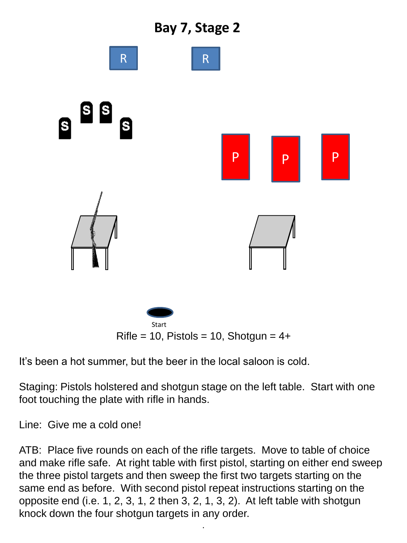



It's been a hot summer, but the beer in the local saloon is cold.

Staging: Pistols holstered and shotgun stage on the left table. Start with one foot touching the plate with rifle in hands.

Line: Give me a cold one!

ATB: Place five rounds on each of the rifle targets. Move to table of choice and make rifle safe. At right table with first pistol, starting on either end sweep the three pistol targets and then sweep the first two targets starting on the same end as before. With second pistol repeat instructions starting on the opposite end (i.e. 1, 2, 3, 1, 2 then 3, 2, 1, 3, 2). At left table with shotgun knock down the four shotgun targets in any order.

.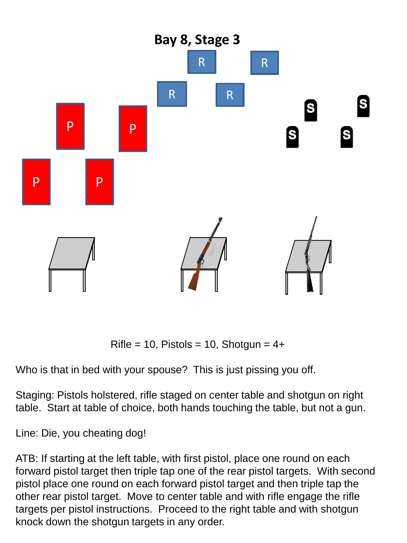

 $Rifle = 10$ , Pistols = 10, Shotgun = 4+

Who is that in bed with your spouse? This is just pissing you off.

Staging: Pistols holstered, rifle staged on center table and shotgun on right table. Start at table of choice, both hands touching the table, but not a gun.

Line: Die, you cheating dog!

ATB: If starting at the left table, with first pistol, place one round on each forward pistol target then triple tap one of the rear pistol targets. With second pistol place one round on each forward pistol target and then triple tap the other rear pistol target. Move to center table and with rifle engage the rifle targets per pistol instructions. Proceed to the right table and with shotgun knock down the shotgun targets in any order.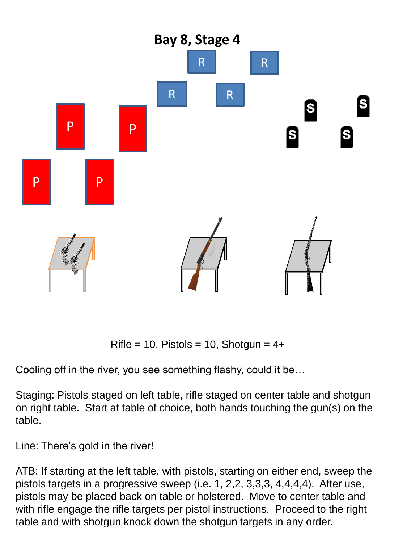

 $Rifle = 10$ , Pistols = 10, Shotgun = 4+

Cooling off in the river, you see something flashy, could it be…

Staging: Pistols staged on left table, rifle staged on center table and shotgun on right table. Start at table of choice, both hands touching the gun(s) on the table.

Line: There's gold in the river!

ATB: If starting at the left table, with pistols, starting on either end, sweep the pistols targets in a progressive sweep (i.e. 1, 2,2, 3,3,3, 4,4,4,4). After use, pistols may be placed back on table or holstered. Move to center table and with rifle engage the rifle targets per pistol instructions. Proceed to the right table and with shotgun knock down the shotgun targets in any order.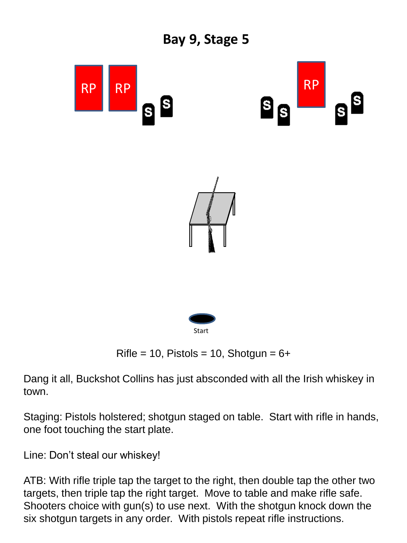

Dang it all, Buckshot Collins has just absconded with all the Irish whiskey in town.

Staging: Pistols holstered; shotgun staged on table. Start with rifle in hands, one foot touching the start plate.

Line: Don't steal our whiskey!

ATB: With rifle triple tap the target to the right, then double tap the other two targets, then triple tap the right target. Move to table and make rifle safe. Shooters choice with gun(s) to use next. With the shotgun knock down the six shotgun targets in any order. With pistols repeat rifle instructions.